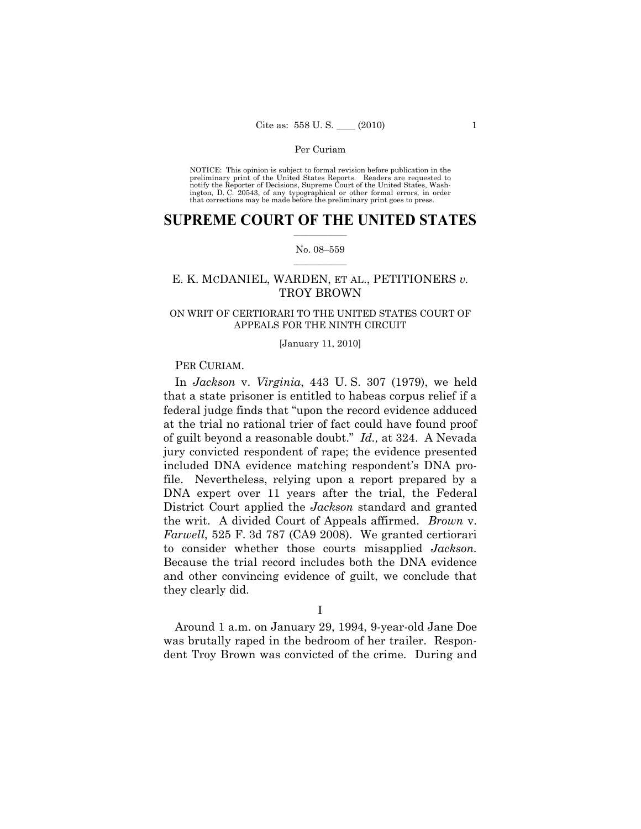NOTICE: This opinion is subject to formal revision before publication in the preliminary print of the United States Reports. Readers are requested to notify the Reporter of Decisions, Supreme Court of the United States, Washington, D. C. 20543, of any typographical or other formal errors, in order that corrections may be made before the preliminary print goes to press.

# $\frac{1}{2}$  , where  $\frac{1}{2}$ **SUPREME COURT OF THE UNITED STATES**

## $\frac{1}{2}$  ,  $\frac{1}{2}$  ,  $\frac{1}{2}$  ,  $\frac{1}{2}$  ,  $\frac{1}{2}$  ,  $\frac{1}{2}$ No. 08–559

# E. K. MCDANIEL, WARDEN, ET AL., PETITIONERS *v.* TROY BROWN

# ON WRIT OF CERTIORARI TO THE UNITED STATES COURT OF APPEALS FOR THE NINTH CIRCUIT

#### [January 11, 2010]

# PER CURIAM.

In *Jackson* v. *Virginia*, 443 U. S. 307 (1979), we held that a state prisoner is entitled to habeas corpus relief if a federal judge finds that "upon the record evidence adduced at the trial no rational trier of fact could have found proof of guilt beyond a reasonable doubt." *Id.,* at 324. A Nevada jury convicted respondent of rape; the evidence presented included DNA evidence matching respondent's DNA profile. Nevertheless, relying upon a report prepared by a DNA expert over 11 years after the trial, the Federal District Court applied the *Jackson* standard and granted the writ. A divided Court of Appeals affirmed. *Brown* v. *Farwell*, 525 F. 3d 787 (CA9 2008). We granted certiorari to consider whether those courts misapplied *Jackson.*  Because the trial record includes both the DNA evidence and other convincing evidence of guilt, we conclude that they clearly did.

# I

Around 1 a.m. on January 29, 1994, 9-year-old Jane Doe was brutally raped in the bedroom of her trailer. Respondent Troy Brown was convicted of the crime. During and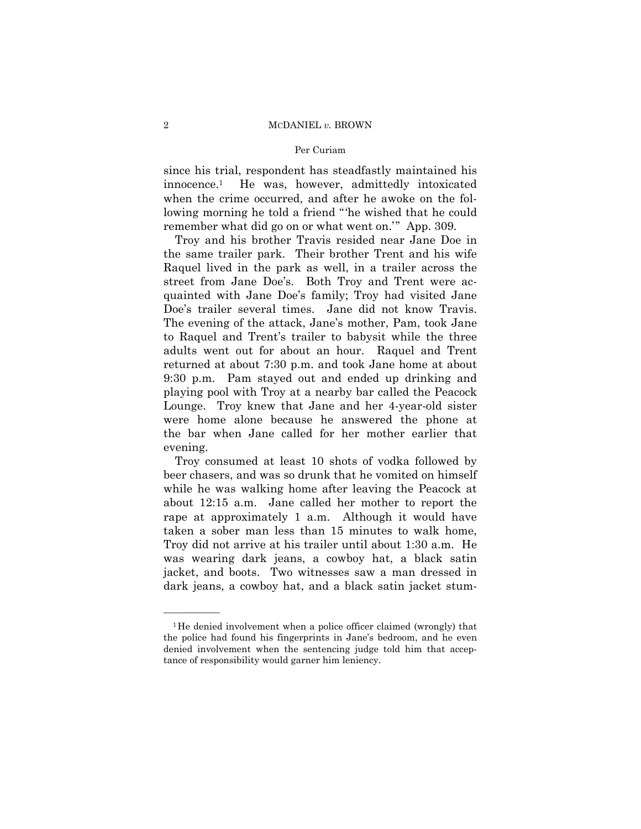## Per Curiam

since his trial, respondent has steadfastly maintained his innocence.1 He was, however, admittedly intoxicated when the crime occurred, and after he awoke on the following morning he told a friend "'he wished that he could remember what did go on or what went on.'" App. 309.

Troy and his brother Travis resided near Jane Doe in the same trailer park. Their brother Trent and his wife Raquel lived in the park as well, in a trailer across the street from Jane Doe's. Both Troy and Trent were acquainted with Jane Doe's family; Troy had visited Jane Doe's trailer several times. Jane did not know Travis. The evening of the attack, Jane's mother, Pam, took Jane to Raquel and Trent's trailer to babysit while the three adults went out for about an hour. Raquel and Trent returned at about 7:30 p.m. and took Jane home at about 9:30 p.m. Pam stayed out and ended up drinking and playing pool with Troy at a nearby bar called the Peacock Lounge. Troy knew that Jane and her 4-year-old sister were home alone because he answered the phone at the bar when Jane called for her mother earlier that evening.

Troy consumed at least 10 shots of vodka followed by beer chasers, and was so drunk that he vomited on himself while he was walking home after leaving the Peacock at about 12:15 a.m. Jane called her mother to report the rape at approximately 1 a.m. Although it would have taken a sober man less than 15 minutes to walk home, Troy did not arrive at his trailer until about 1:30 a.m. He was wearing dark jeans, a cowboy hat, a black satin jacket, and boots. Two witnesses saw a man dressed in dark jeans, a cowboy hat, and a black satin jacket stum-

<sup>&</sup>lt;sup>1</sup>He denied involvement when a police officer claimed (wrongly) that the police had found his fingerprints in Jane's bedroom, and he even denied involvement when the sentencing judge told him that acceptance of responsibility would garner him leniency.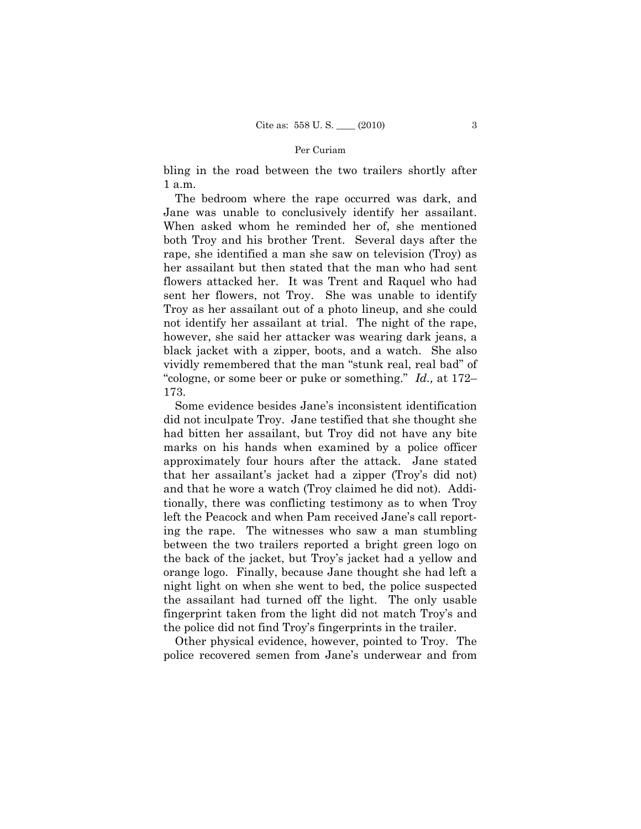bling in the road between the two trailers shortly after 1 a.m.

The bedroom where the rape occurred was dark, and Jane was unable to conclusively identify her assailant. When asked whom he reminded her of, she mentioned both Troy and his brother Trent. Several days after the rape, she identified a man she saw on television (Troy) as her assailant but then stated that the man who had sent flowers attacked her. It was Trent and Raquel who had sent her flowers, not Troy. She was unable to identify Troy as her assailant out of a photo lineup, and she could not identify her assailant at trial. The night of the rape, however, she said her attacker was wearing dark jeans, a black jacket with a zipper, boots, and a watch. She also vividly remembered that the man "stunk real, real bad" of "cologne, or some beer or puke or something." *Id.,* at 172– 173.

Some evidence besides Jane's inconsistent identification did not inculpate Troy. Jane testified that she thought she had bitten her assailant, but Troy did not have any bite marks on his hands when examined by a police officer approximately four hours after the attack. Jane stated that her assailant's jacket had a zipper (Troy's did not) and that he wore a watch (Troy claimed he did not). Additionally, there was conflicting testimony as to when Troy left the Peacock and when Pam received Jane's call reporting the rape. The witnesses who saw a man stumbling between the two trailers reported a bright green logo on the back of the jacket, but Troy's jacket had a yellow and orange logo. Finally, because Jane thought she had left a night light on when she went to bed, the police suspected the assailant had turned off the light. The only usable fingerprint taken from the light did not match Troy's and the police did not find Troy's fingerprints in the trailer.

Other physical evidence, however, pointed to Troy. The police recovered semen from Jane's underwear and from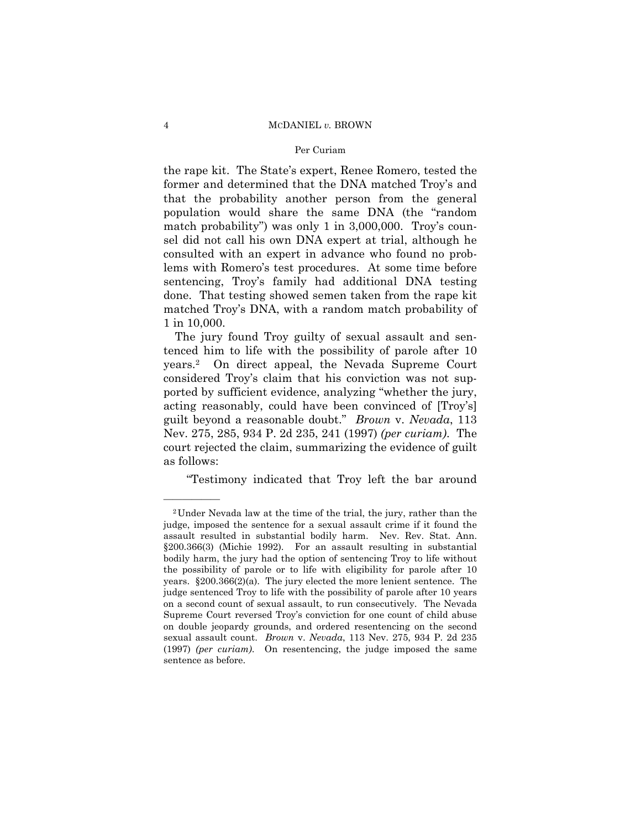## Per Curiam

the rape kit. The State's expert, Renee Romero, tested the former and determined that the DNA matched Troy's and that the probability another person from the general population would share the same DNA (the "random match probability") was only 1 in 3,000,000. Troy's counsel did not call his own DNA expert at trial, although he consulted with an expert in advance who found no problems with Romero's test procedures. At some time before sentencing, Troy's family had additional DNA testing done. That testing showed semen taken from the rape kit matched Troy's DNA, with a random match probability of 1 in 10,000.

The jury found Troy guilty of sexual assault and sentenced him to life with the possibility of parole after 10 years.2 On direct appeal, the Nevada Supreme Court considered Troy's claim that his conviction was not supported by sufficient evidence, analyzing "whether the jury, acting reasonably, could have been convinced of [Troy's] guilt beyond a reasonable doubt." *Brown* v. *Nevada*, 113 Nev. 275, 285, 934 P. 2d 235, 241 (1997) *(per curiam)*. The court rejected the claim, summarizing the evidence of guilt as follows:

"Testimony indicated that Troy left the bar around

<sup>2</sup>Under Nevada law at the time of the trial, the jury, rather than the judge, imposed the sentence for a sexual assault crime if it found the assault resulted in substantial bodily harm. Nev. Rev. Stat. Ann. §200.366(3) (Michie 1992). For an assault resulting in substantial bodily harm, the jury had the option of sentencing Troy to life without the possibility of parole or to life with eligibility for parole after 10 years. §200.366(2)(a). The jury elected the more lenient sentence. The judge sentenced Troy to life with the possibility of parole after 10 years on a second count of sexual assault, to run consecutively. The Nevada Supreme Court reversed Troy's conviction for one count of child abuse on double jeopardy grounds, and ordered resentencing on the second sexual assault count. *Brown* v. *Nevada*, 113 Nev. 275, 934 P. 2d 235 (1997) *(per curiam)*. On resentencing, the judge imposed the same sentence as before.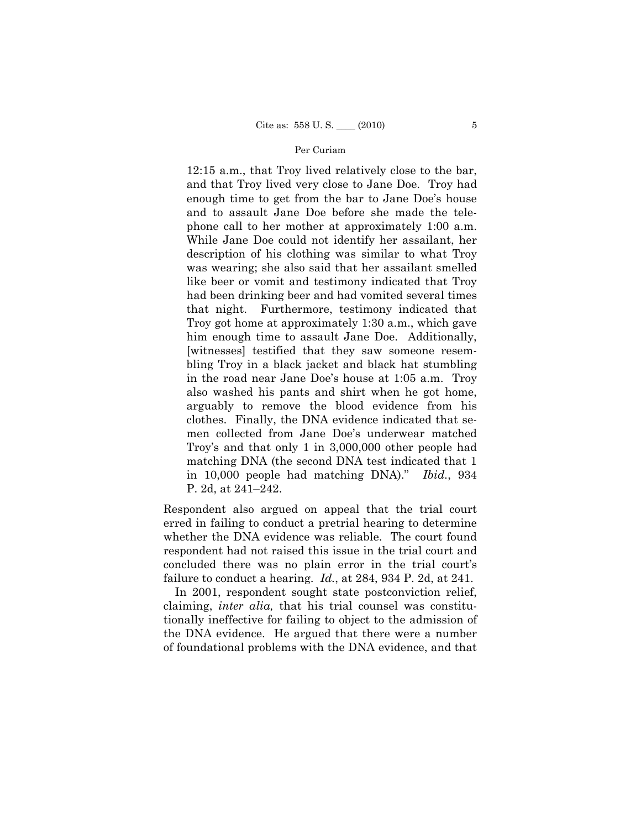12:15 a.m., that Troy lived relatively close to the bar, and that Troy lived very close to Jane Doe. Troy had enough time to get from the bar to Jane Doe's house and to assault Jane Doe before she made the telephone call to her mother at approximately 1:00 a.m. While Jane Doe could not identify her assailant, her description of his clothing was similar to what Troy was wearing; she also said that her assailant smelled like beer or vomit and testimony indicated that Troy had been drinking beer and had vomited several times that night. Furthermore, testimony indicated that Troy got home at approximately 1:30 a.m., which gave him enough time to assault Jane Doe. Additionally, [witnesses] testified that they saw someone resembling Troy in a black jacket and black hat stumbling in the road near Jane Doe's house at 1:05 a.m. Troy also washed his pants and shirt when he got home, arguably to remove the blood evidence from his clothes. Finally, the DNA evidence indicated that semen collected from Jane Doe's underwear matched Troy's and that only 1 in 3,000,000 other people had matching DNA (the second DNA test indicated that 1 in 10,000 people had matching DNA)." *Ibid.*, 934 P. 2d, at 241–242.

Respondent also argued on appeal that the trial court erred in failing to conduct a pretrial hearing to determine whether the DNA evidence was reliable. The court found respondent had not raised this issue in the trial court and concluded there was no plain error in the trial court's failure to conduct a hearing. *Id.*, at 284, 934 P. 2d, at 241.

In 2001, respondent sought state postconviction relief, claiming, *inter alia,* that his trial counsel was constitutionally ineffective for failing to object to the admission of the DNA evidence. He argued that there were a number of foundational problems with the DNA evidence, and that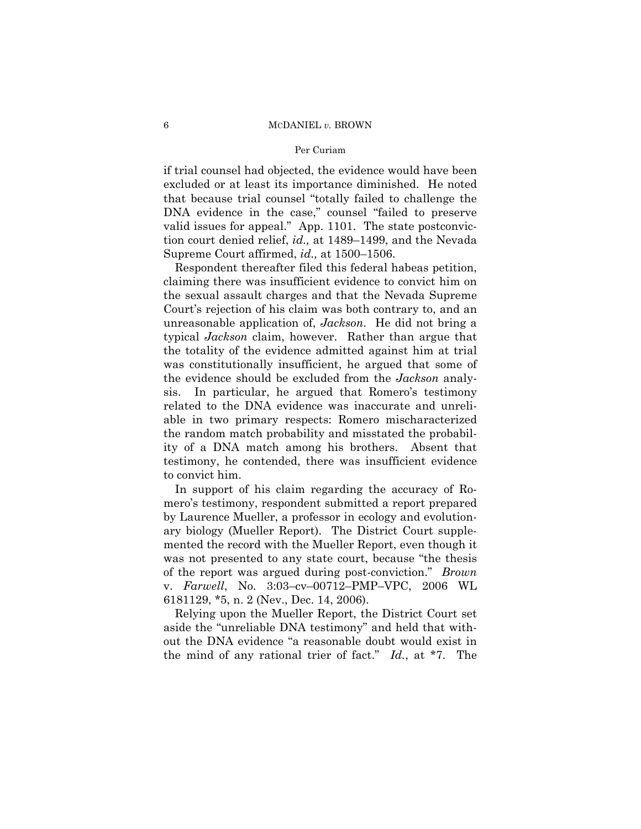## Per Curiam

if trial counsel had objected, the evidence would have been excluded or at least its importance diminished. He noted that because trial counsel "totally failed to challenge the DNA evidence in the case," counsel "failed to preserve valid issues for appeal." App. 1101. The state postconviction court denied relief, *id.,* at 1489–1499, and the Nevada Supreme Court affirmed, *id.,* at 1500–1506.

Respondent thereafter filed this federal habeas petition, claiming there was insufficient evidence to convict him on the sexual assault charges and that the Nevada Supreme Court's rejection of his claim was both contrary to, and an unreasonable application of, *Jackson*. He did not bring a typical *Jackson* claim, however. Rather than argue that the totality of the evidence admitted against him at trial was constitutionally insufficient, he argued that some of the evidence should be excluded from the *Jackson* analysis. In particular, he argued that Romero's testimony related to the DNA evidence was inaccurate and unreliable in two primary respects: Romero mischaracterized the random match probability and misstated the probability of a DNA match among his brothers. Absent that testimony, he contended, there was insufficient evidence to convict him.

In support of his claim regarding the accuracy of Romero's testimony, respondent submitted a report prepared by Laurence Mueller, a professor in ecology and evolutionary biology (Mueller Report). The District Court supplemented the record with the Mueller Report, even though it was not presented to any state court, because "the thesis of the report was argued during post-conviction." *Brown*  v. *Farwell*, No. 3:03–cv–00712–PMP–VPC, 2006 WL 6181129, \*5, n. 2 (Nev., Dec. 14, 2006).

Relying upon the Mueller Report, the District Court set aside the "unreliable DNA testimony" and held that without the DNA evidence "a reasonable doubt would exist in the mind of any rational trier of fact." *Id.*, at \*7. The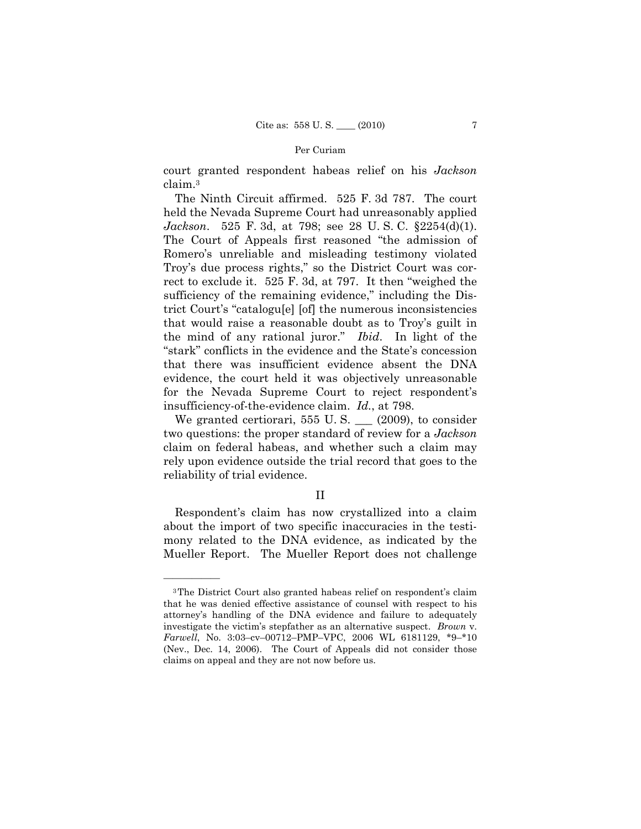court granted respondent habeas relief on his *Jackson*  claim.3

The Ninth Circuit affirmed. 525 F. 3d 787. The court held the Nevada Supreme Court had unreasonably applied *Jackson*. 525 F. 3d, at 798; see 28 U. S. C. §2254(d)(1). The Court of Appeals first reasoned "the admission of Romero's unreliable and misleading testimony violated Troy's due process rights," so the District Court was correct to exclude it. 525 F. 3d, at 797. It then "weighed the sufficiency of the remaining evidence," including the District Court's "catalogu[e] [of] the numerous inconsistencies that would raise a reasonable doubt as to Troy's guilt in the mind of any rational juror." *Ibid*. In light of the "stark" conflicts in the evidence and the State's concession that there was insufficient evidence absent the DNA evidence, the court held it was objectively unreasonable for the Nevada Supreme Court to reject respondent's insufficiency-of-the-evidence claim. *Id.*, at 798.

We granted certiorari, 555 U. S. \_\_\_ (2009), to consider two questions: the proper standard of review for a *Jackson*  claim on federal habeas, and whether such a claim may rely upon evidence outside the trial record that goes to the reliability of trial evidence.

# II

Respondent's claim has now crystallized into a claim about the import of two specific inaccuracies in the testimony related to the DNA evidence, as indicated by the Mueller Report. The Mueller Report does not challenge

<sup>3</sup>The District Court also granted habeas relief on respondent's claim that he was denied effective assistance of counsel with respect to his attorney's handling of the DNA evidence and failure to adequately investigate the victim's stepfather as an alternative suspect. *Brown* v. *Farwell*, No. 3:03–cv–00712–PMP–VPC, 2006 WL 6181129, \*9–\*10 (Nev., Dec. 14, 2006). The Court of Appeals did not consider those claims on appeal and they are not now before us.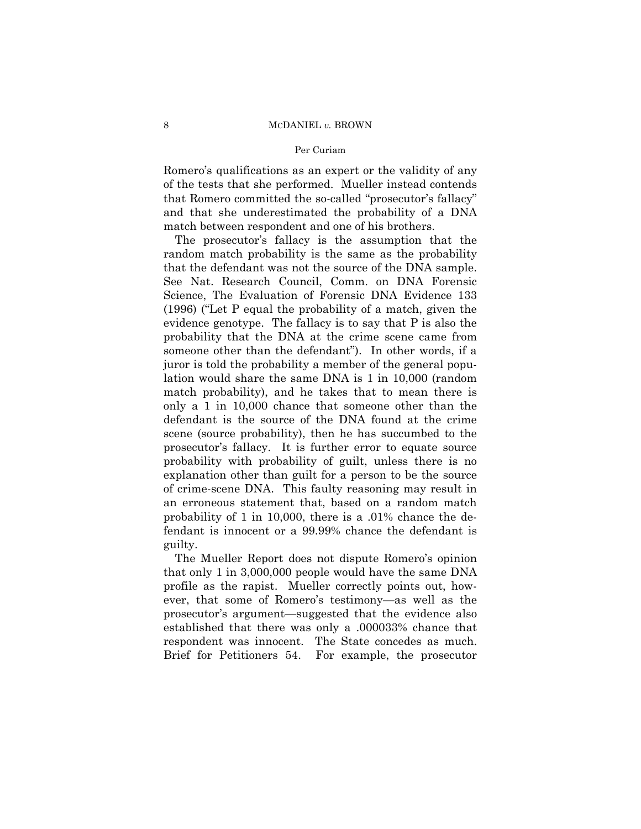## Per Curiam

Romero's qualifications as an expert or the validity of any of the tests that she performed. Mueller instead contends that Romero committed the so-called "prosecutor's fallacy" and that she underestimated the probability of a DNA match between respondent and one of his brothers.

The prosecutor's fallacy is the assumption that the random match probability is the same as the probability that the defendant was not the source of the DNA sample. See Nat. Research Council, Comm. on DNA Forensic Science, The Evaluation of Forensic DNA Evidence 133 (1996) ("Let P equal the probability of a match, given the evidence genotype. The fallacy is to say that P is also the probability that the DNA at the crime scene came from someone other than the defendant"). In other words, if a juror is told the probability a member of the general population would share the same DNA is 1 in 10,000 (random match probability), and he takes that to mean there is only a 1 in 10,000 chance that someone other than the defendant is the source of the DNA found at the crime scene (source probability), then he has succumbed to the prosecutor's fallacy. It is further error to equate source probability with probability of guilt, unless there is no explanation other than guilt for a person to be the source of crime-scene DNA. This faulty reasoning may result in an erroneous statement that, based on a random match probability of 1 in 10,000, there is a .01% chance the defendant is innocent or a 99.99% chance the defendant is guilty.

The Mueller Report does not dispute Romero's opinion that only 1 in 3,000,000 people would have the same DNA profile as the rapist. Mueller correctly points out, however, that some of Romero's testimony—as well as the prosecutor's argument—suggested that the evidence also established that there was only a .000033% chance that respondent was innocent. The State concedes as much. Brief for Petitioners 54. For example, the prosecutor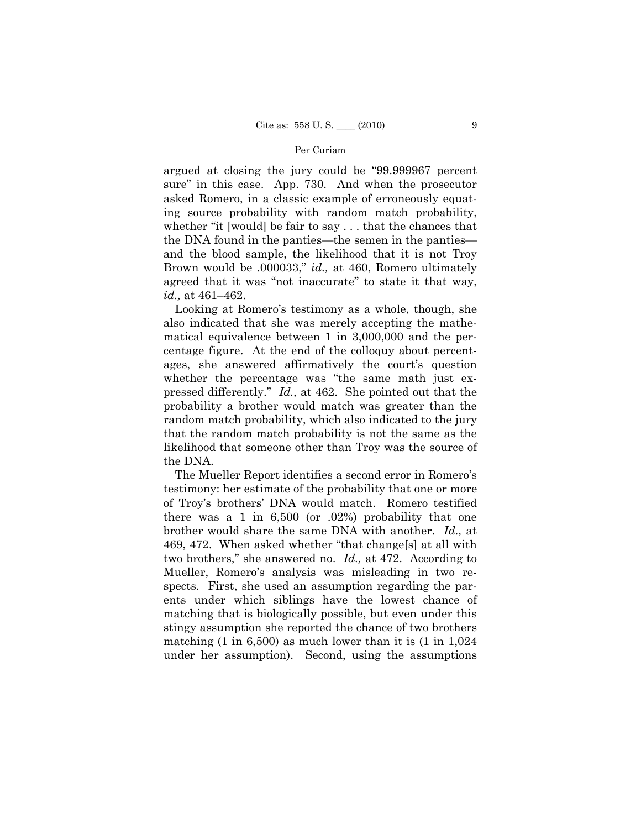argued at closing the jury could be "99.999967 percent sure" in this case. App. 730. And when the prosecutor asked Romero, in a classic example of erroneously equating source probability with random match probability, whether "it [would] be fair to say . . . that the chances that the DNA found in the panties—the semen in the panties and the blood sample, the likelihood that it is not Troy Brown would be .000033," *id.,* at 460, Romero ultimately agreed that it was "not inaccurate" to state it that way, *id.,* at 461–462.

Looking at Romero's testimony as a whole, though, she also indicated that she was merely accepting the mathematical equivalence between 1 in 3,000,000 and the percentage figure. At the end of the colloquy about percentages, she answered affirmatively the court's question whether the percentage was "the same math just expressed differently." *Id.,* at 462. She pointed out that the probability a brother would match was greater than the random match probability, which also indicated to the jury that the random match probability is not the same as the likelihood that someone other than Troy was the source of the DNA.

The Mueller Report identifies a second error in Romero's testimony: her estimate of the probability that one or more of Troy's brothers' DNA would match. Romero testified there was a 1 in 6,500 (or .02%) probability that one brother would share the same DNA with another. *Id.,* at 469, 472. When asked whether "that change[s] at all with two brothers," she answered no. *Id.,* at 472. According to Mueller, Romero's analysis was misleading in two respects. First, she used an assumption regarding the parents under which siblings have the lowest chance of matching that is biologically possible, but even under this stingy assumption she reported the chance of two brothers matching  $(1 \text{ in } 6,500)$  as much lower than it is  $(1 \text{ in } 1,024)$ under her assumption). Second, using the assumptions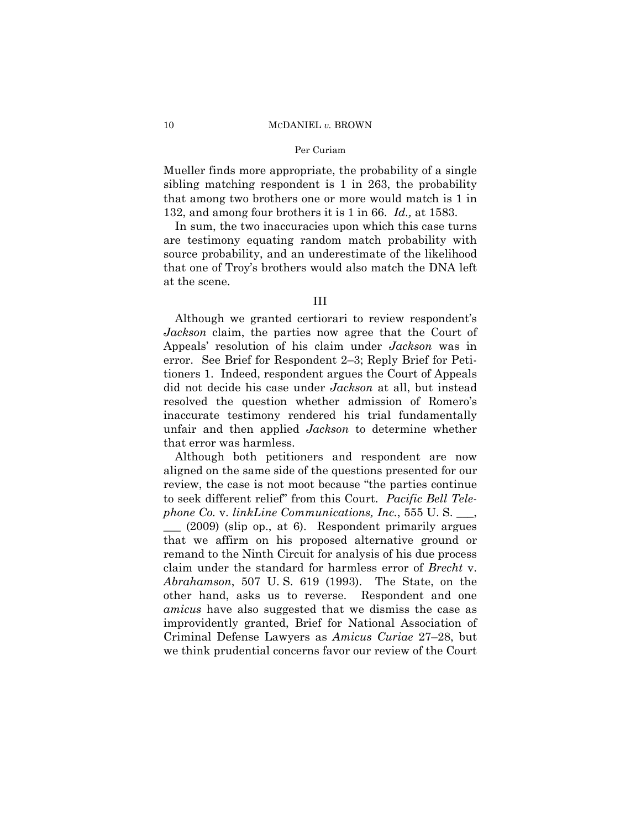### Per Curiam

Mueller finds more appropriate, the probability of a single sibling matching respondent is 1 in 263, the probability that among two brothers one or more would match is 1 in 132, and among four brothers it is 1 in 66. *Id.,* at 1583.

In sum, the two inaccuracies upon which this case turns are testimony equating random match probability with source probability, and an underestimate of the likelihood that one of Troy's brothers would also match the DNA left at the scene.

# III

Although we granted certiorari to review respondent's *Jackson* claim, the parties now agree that the Court of Appeals' resolution of his claim under *Jackson* was in error. See Brief for Respondent 2–3; Reply Brief for Petitioners 1. Indeed, respondent argues the Court of Appeals did not decide his case under *Jackson* at all, but instead resolved the question whether admission of Romero's inaccurate testimony rendered his trial fundamentally unfair and then applied *Jackson* to determine whether that error was harmless.

Although both petitioners and respondent are now aligned on the same side of the questions presented for our review, the case is not moot because "the parties continue to seek different relief" from this Court. *Pacific Bell Telephone Co.* v. *linkLine Communications, Inc.*, 555 U. S. \_\_\_,

\_\_\_ (2009) (slip op., at 6). Respondent primarily argues that we affirm on his proposed alternative ground or remand to the Ninth Circuit for analysis of his due process claim under the standard for harmless error of *Brecht* v. *Abrahamson*, 507 U. S. 619 (1993). The State, on the other hand, asks us to reverse. Respondent and one *amicus* have also suggested that we dismiss the case as improvidently granted, Brief for National Association of Criminal Defense Lawyers as *Amicus Curiae* 27–28, but we think prudential concerns favor our review of the Court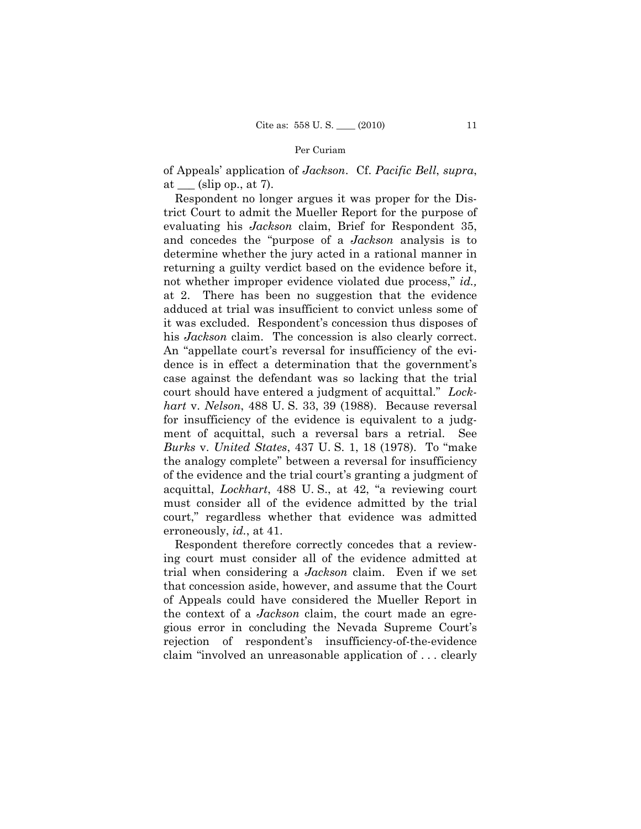of Appeals' application of *Jackson*. Cf. *Pacific Bell*, *supra*, at  $\_\_\$  (slip op., at 7).

Respondent no longer argues it was proper for the District Court to admit the Mueller Report for the purpose of evaluating his *Jackson* claim, Brief for Respondent 35, and concedes the "purpose of a *Jackson* analysis is to determine whether the jury acted in a rational manner in returning a guilty verdict based on the evidence before it, not whether improper evidence violated due process," *id.,*  at 2. There has been no suggestion that the evidence adduced at trial was insufficient to convict unless some of it was excluded. Respondent's concession thus disposes of his *Jackson* claim. The concession is also clearly correct. An "appellate court's reversal for insufficiency of the evidence is in effect a determination that the government's case against the defendant was so lacking that the trial court should have entered a judgment of acquittal." *Lockhart* v. *Nelson*, 488 U. S. 33, 39 (1988). Because reversal for insufficiency of the evidence is equivalent to a judgment of acquittal, such a reversal bars a retrial. See *Burks* v. *United States*, 437 U. S. 1, 18 (1978). To "make the analogy complete" between a reversal for insufficiency of the evidence and the trial court's granting a judgment of acquittal, *Lockhart*, 488 U. S., at 42, "a reviewing court must consider all of the evidence admitted by the trial court," regardless whether that evidence was admitted erroneously, *id.*, at 41.

Respondent therefore correctly concedes that a reviewing court must consider all of the evidence admitted at trial when considering a *Jackson* claim. Even if we set that concession aside, however, and assume that the Court of Appeals could have considered the Mueller Report in the context of a *Jackson* claim, the court made an egregious error in concluding the Nevada Supreme Court's rejection of respondent's insufficiency-of-the-evidence claim "involved an unreasonable application of . . . clearly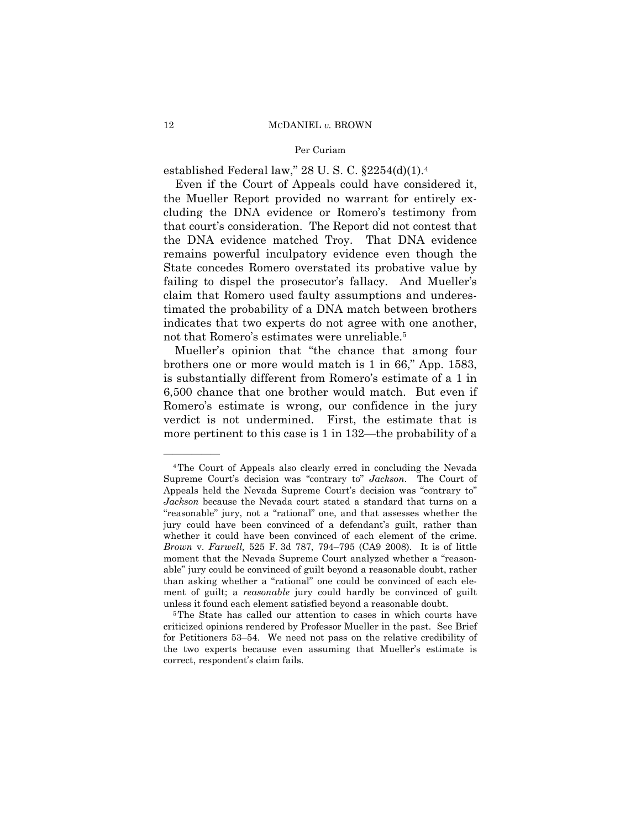established Federal law," 28 U. S. C. §2254(d)(1).4

Even if the Court of Appeals could have considered it, the Mueller Report provided no warrant for entirely excluding the DNA evidence or Romero's testimony from that court's consideration. The Report did not contest that the DNA evidence matched Troy. That DNA evidence remains powerful inculpatory evidence even though the State concedes Romero overstated its probative value by failing to dispel the prosecutor's fallacy. And Mueller's claim that Romero used faulty assumptions and underestimated the probability of a DNA match between brothers indicates that two experts do not agree with one another, not that Romero's estimates were unreliable.<sup>5</sup>

Mueller's opinion that "the chance that among four brothers one or more would match is 1 in 66," App. 1583, is substantially different from Romero's estimate of a 1 in 6,500 chance that one brother would match. But even if Romero's estimate is wrong, our confidence in the jury verdict is not undermined. First, the estimate that is more pertinent to this case is 1 in 132—the probability of a

<sup>4</sup>The Court of Appeals also clearly erred in concluding the Nevada Supreme Court's decision was "contrary to" *Jackson*. The Court of Appeals held the Nevada Supreme Court's decision was "contrary to" *Jackson* because the Nevada court stated a standard that turns on a "reasonable" jury, not a "rational" one, and that assesses whether the jury could have been convinced of a defendant's guilt, rather than whether it could have been convinced of each element of the crime. *Brown* v. *Farwell,* 525 F. 3d 787, 794–795 (CA9 2008). It is of little moment that the Nevada Supreme Court analyzed whether a "reasonable" jury could be convinced of guilt beyond a reasonable doubt, rather than asking whether a "rational" one could be convinced of each element of guilt; a *reasonable* jury could hardly be convinced of guilt unless it found each element satisfied beyond a reasonable doubt. 5The State has called our attention to cases in which courts have

criticized opinions rendered by Professor Mueller in the past. See Brief for Petitioners 53–54. We need not pass on the relative credibility of the two experts because even assuming that Mueller's estimate is correct, respondent's claim fails.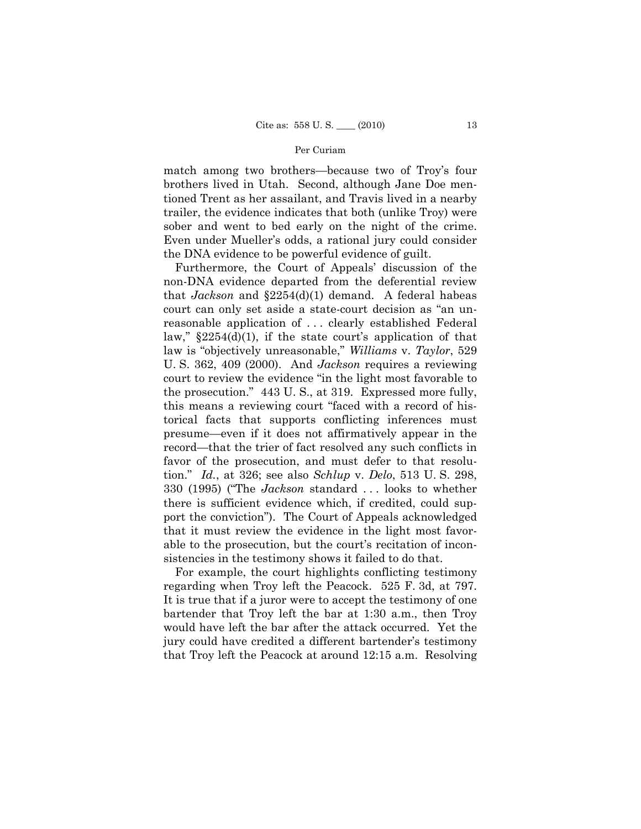match among two brothers—because two of Troy's four brothers lived in Utah. Second, although Jane Doe mentioned Trent as her assailant, and Travis lived in a nearby trailer, the evidence indicates that both (unlike Troy) were sober and went to bed early on the night of the crime. Even under Mueller's odds, a rational jury could consider the DNA evidence to be powerful evidence of guilt.

Furthermore, the Court of Appeals' discussion of the non-DNA evidence departed from the deferential review that *Jackson* and §2254(d)(1) demand. A federal habeas court can only set aside a state-court decision as "an unreasonable application of . . . clearly established Federal law,"  $\S 2254(d)(1)$ , if the state court's application of that law is "objectively unreasonable," *Williams* v. *Taylor*, 529 U. S. 362, 409 (2000). And *Jackson* requires a reviewing court to review the evidence "in the light most favorable to the prosecution." 443 U. S., at 319. Expressed more fully, this means a reviewing court "faced with a record of historical facts that supports conflicting inferences must presume—even if it does not affirmatively appear in the record—that the trier of fact resolved any such conflicts in favor of the prosecution, and must defer to that resolution." *Id.*, at 326; see also *Schlup* v. *Delo*, 513 U. S. 298, 330 (1995) ("The *Jackson* standard . . . looks to whether there is sufficient evidence which, if credited, could support the conviction"). The Court of Appeals acknowledged that it must review the evidence in the light most favorable to the prosecution, but the court's recitation of inconsistencies in the testimony shows it failed to do that.

For example, the court highlights conflicting testimony regarding when Troy left the Peacock. 525 F. 3d, at 797. It is true that if a juror were to accept the testimony of one bartender that Troy left the bar at 1:30 a.m., then Troy would have left the bar after the attack occurred. Yet the jury could have credited a different bartender's testimony that Troy left the Peacock at around 12:15 a.m. Resolving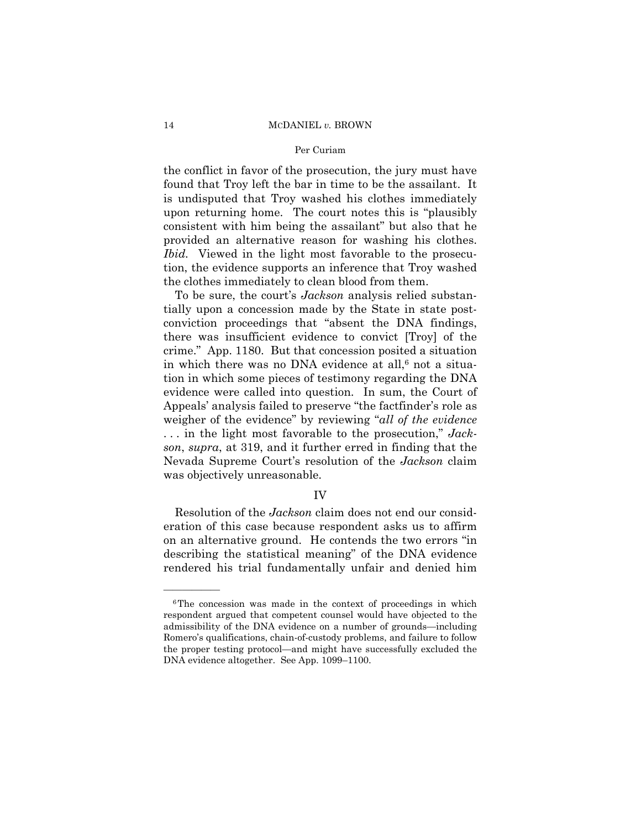## Per Curiam

the conflict in favor of the prosecution, the jury must have found that Troy left the bar in time to be the assailant. It is undisputed that Troy washed his clothes immediately upon returning home. The court notes this is "plausibly consistent with him being the assailant" but also that he provided an alternative reason for washing his clothes. *Ibid.* Viewed in the light most favorable to the prosecution, the evidence supports an inference that Troy washed the clothes immediately to clean blood from them.

To be sure, the court's *Jackson* analysis relied substantially upon a concession made by the State in state postconviction proceedings that "absent the DNA findings, there was insufficient evidence to convict [Troy] of the crime." App. 1180. But that concession posited a situation in which there was no DNA evidence at all, $6$  not a situation in which some pieces of testimony regarding the DNA evidence were called into question. In sum, the Court of Appeals' analysis failed to preserve "the factfinder's role as weigher of the evidence" by reviewing "*all of the evidence*  . . . in the light most favorable to the prosecution," *Jackson*, *supra*, at 319, and it further erred in finding that the Nevada Supreme Court's resolution of the *Jackson* claim was objectively unreasonable.

# IV

 Resolution of the *Jackson* claim does not end our consideration of this case because respondent asks us to affirm on an alternative ground. He contends the two errors "in describing the statistical meaning" of the DNA evidence rendered his trial fundamentally unfair and denied him

<sup>&</sup>lt;sup>6</sup>The concession was made in the context of proceedings in which respondent argued that competent counsel would have objected to the admissibility of the DNA evidence on a number of grounds—including Romero's qualifications, chain-of-custody problems, and failure to follow the proper testing protocol—and might have successfully excluded the DNA evidence altogether. See App. 1099–1100.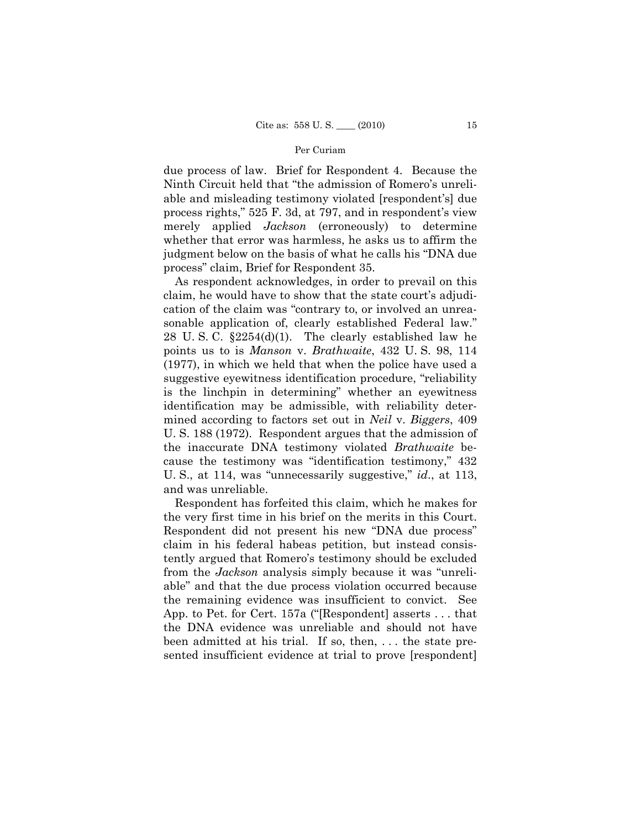due process of law. Brief for Respondent 4. Because the Ninth Circuit held that "the admission of Romero's unreliable and misleading testimony violated [respondent's] due process rights," 525 F. 3d, at 797, and in respondent's view merely applied *Jackson* (erroneously) to determine whether that error was harmless, he asks us to affirm the judgment below on the basis of what he calls his "DNA due process" claim, Brief for Respondent 35.

As respondent acknowledges, in order to prevail on this claim, he would have to show that the state court's adjudication of the claim was "contrary to, or involved an unreasonable application of, clearly established Federal law." 28 U. S. C. §2254(d)(1). The clearly established law he points us to is *Manson* v. *Brathwaite*, 432 U. S. 98, 114 (1977), in which we held that when the police have used a suggestive eyewitness identification procedure, "reliability is the linchpin in determining" whether an eyewitness identification may be admissible, with reliability determined according to factors set out in *Neil* v. *Biggers*, 409 U. S. 188 (1972). Respondent argues that the admission of the inaccurate DNA testimony violated *Brathwaite* because the testimony was "identification testimony," 432 U. S., at 114, was "unnecessarily suggestive," *id*., at 113, and was unreliable.

Respondent has forfeited this claim, which he makes for the very first time in his brief on the merits in this Court. Respondent did not present his new "DNA due process" claim in his federal habeas petition, but instead consistently argued that Romero's testimony should be excluded from the *Jackson* analysis simply because it was "unreliable" and that the due process violation occurred because the remaining evidence was insufficient to convict. See App. to Pet. for Cert. 157a ("[Respondent] asserts . . . that the DNA evidence was unreliable and should not have been admitted at his trial. If so, then, . . . the state presented insufficient evidence at trial to prove [respondent]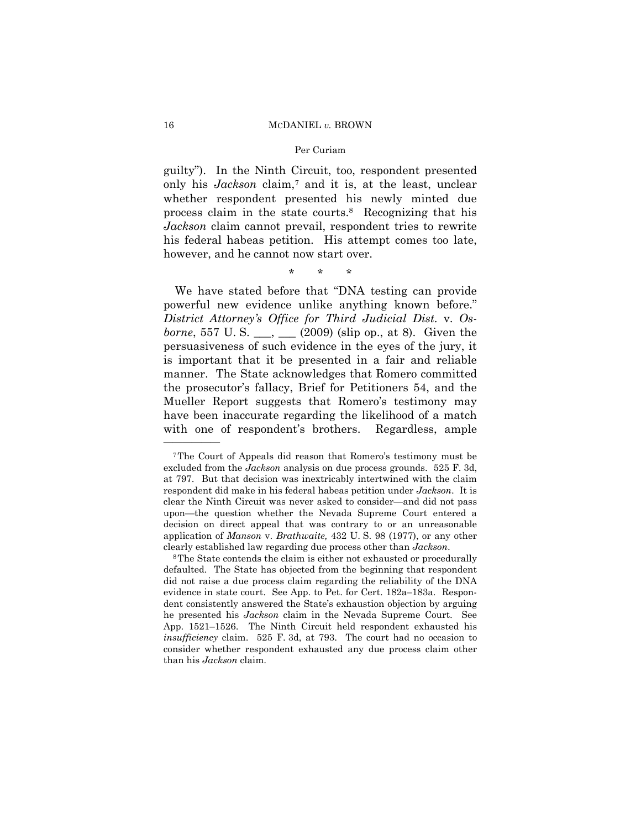### Per Curiam

guilty"). In the Ninth Circuit, too, respondent presented only his *Jackson* claim,7 and it is, at the least, unclear whether respondent presented his newly minted due process claim in the state courts.8 Recognizing that his *Jackson* claim cannot prevail, respondent tries to rewrite his federal habeas petition. His attempt comes too late, however, and he cannot now start over.

# \* \* \*

We have stated before that "DNA testing can provide powerful new evidence unlike anything known before." *District Attorney's Office for Third Judicial Dist.* v. *Osborne*, 557 U.S. \_\_, \_\_ (2009) (slip op., at 8). Given the persuasiveness of such evidence in the eyes of the jury, it is important that it be presented in a fair and reliable manner. The State acknowledges that Romero committed the prosecutor's fallacy, Brief for Petitioners 54, and the Mueller Report suggests that Romero's testimony may have been inaccurate regarding the likelihood of a match with one of respondent's brothers. Regardless, ample

<sup>7</sup>The Court of Appeals did reason that Romero's testimony must be excluded from the *Jackson* analysis on due process grounds. 525 F. 3d, at 797. But that decision was inextricably intertwined with the claim respondent did make in his federal habeas petition under *Jackson*. It is clear the Ninth Circuit was never asked to consider—and did not pass upon—the question whether the Nevada Supreme Court entered a decision on direct appeal that was contrary to or an unreasonable application of *Manson* v. *Brathwaite,* 432 U. S. 98 (1977), or any other clearly established law regarding due process other than *Jackson*. 8The State contends the claim is either not exhausted or procedurally

defaulted. The State has objected from the beginning that respondent did not raise a due process claim regarding the reliability of the DNA evidence in state court. See App. to Pet. for Cert. 182a–183a. Respondent consistently answered the State's exhaustion objection by arguing he presented his *Jackson* claim in the Nevada Supreme Court. See App. 1521–1526. The Ninth Circuit held respondent exhausted his *insufficiency* claim. 525 F. 3d, at 793. The court had no occasion to consider whether respondent exhausted any due process claim other than his *Jackson* claim.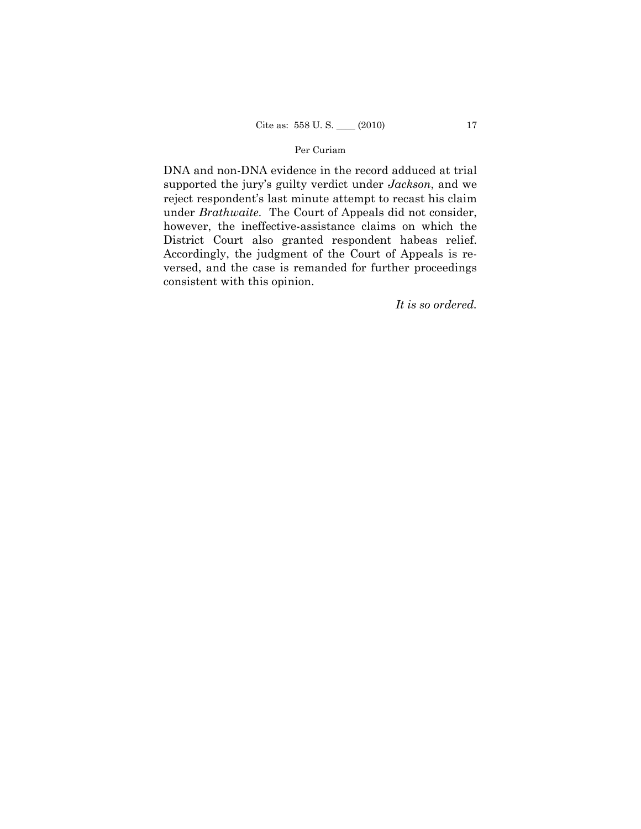DNA and non-DNA evidence in the record adduced at trial supported the jury's guilty verdict under *Jackson*, and we reject respondent's last minute attempt to recast his claim under *Brathwaite*. The Court of Appeals did not consider, however, the ineffective-assistance claims on which the District Court also granted respondent habeas relief. Accordingly, the judgment of the Court of Appeals is reversed, and the case is remanded for further proceedings consistent with this opinion.

*It is so ordered.*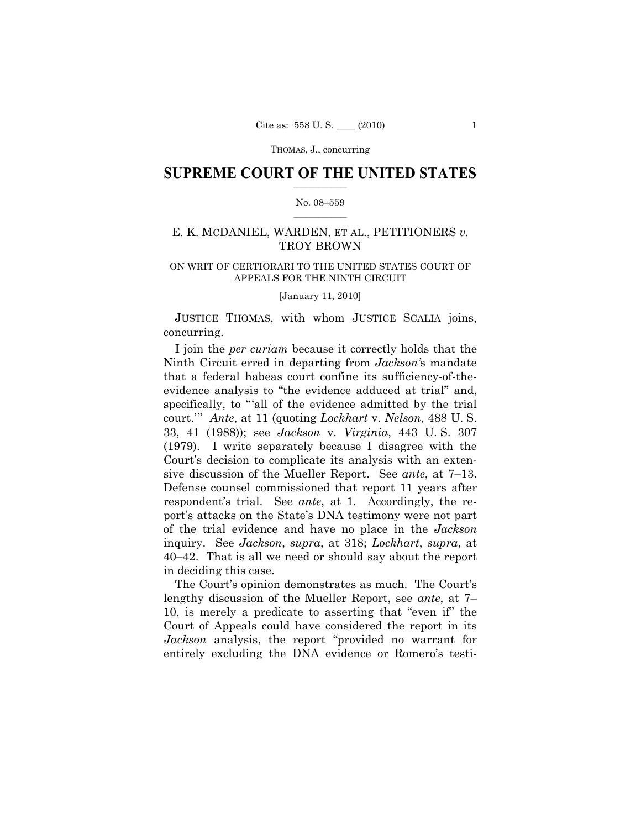THOMAS, J., concurring

# $\frac{1}{2}$  , where  $\frac{1}{2}$ **SUPREME COURT OF THE UNITED STATES**

## $\frac{1}{2}$  ,  $\frac{1}{2}$  ,  $\frac{1}{2}$  ,  $\frac{1}{2}$  ,  $\frac{1}{2}$  ,  $\frac{1}{2}$ No. 08–559

# E. K. MCDANIEL, WARDEN, ET AL., PETITIONERS *v.* TROY BROWN

# ON WRIT OF CERTIORARI TO THE UNITED STATES COURT OF APPEALS FOR THE NINTH CIRCUIT

[January 11, 2010]

 JUSTICE THOMAS, with whom JUSTICE SCALIA joins, concurring.

I join the *per curiam* because it correctly holds that the Ninth Circuit erred in departing from *Jackson'*s mandate that a federal habeas court confine its sufficiency-of-theevidence analysis to "the evidence adduced at trial" and, specifically, to "all of the evidence admitted by the trial court.'" *Ante*, at 11 (quoting *Lockhart* v. *Nelson*, 488 U. S. 33, 41 (1988)); see *Jackson* v. *Virginia*, 443 U. S. 307 (1979). I write separately because I disagree with the Court's decision to complicate its analysis with an extensive discussion of the Mueller Report. See *ante*, at 7–13. Defense counsel commissioned that report 11 years after respondent's trial. See *ante*, at 1. Accordingly, the report's attacks on the State's DNA testimony were not part of the trial evidence and have no place in the *Jackson*  inquiry. See *Jackson*, *supra*, at 318; *Lockhart*, *supra*, at 40–42. That is all we need or should say about the report in deciding this case.

The Court's opinion demonstrates as much. The Court's lengthy discussion of the Mueller Report, see *ante*, at 7– 10, is merely a predicate to asserting that "even if" the Court of Appeals could have considered the report in its *Jackson* analysis, the report "provided no warrant for entirely excluding the DNA evidence or Romero's testi-